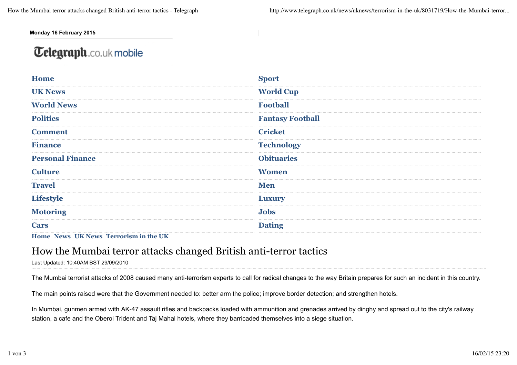**Monday 16 February 2015**

## **Telegraph.co.uk mobile**

| <b>Home</b>             | <b>Sport</b>            |
|-------------------------|-------------------------|
|                         |                         |
| <b>UK News</b>          | <b>World Cup</b>        |
|                         |                         |
| <b>World News</b>       | <b>Football</b>         |
|                         |                         |
| <b>Politics</b>         | <b>Fantasy Football</b> |
|                         |                         |
| <b>Comment</b>          | <b>Cricket</b>          |
|                         |                         |
| <b>Finance</b>          | <b>Technology</b>       |
|                         |                         |
| <b>Personal Finance</b> | <b>Obituaries</b>       |
|                         |                         |
| <b>Culture</b>          | <b>Women</b>            |
|                         |                         |
| Travel                  | <b>Men</b>              |
|                         |                         |
| <b>Lifestyle</b>        | <b>Luxury</b>           |
|                         |                         |
| <b>Motoring</b>         | <b>Jobs</b>             |
|                         |                         |
| <b>Cars</b>             | <b>Dating</b>           |

**Home News UK News Terrorism in the UK**

## How the Mumbai terror attacks changed British anti-terror tactics

Last Updated: 10:40AM BST 29/09/2010

The Mumbai terrorist attacks of 2008 caused many anti-terrorism experts to call for radical changes to the way Britain prepares for such an incident in this country.

The main points raised were that the Government needed to: better arm the police; improve border detection; and strengthen hotels.

In Mumbai, gunmen armed with AK-47 assault rifles and backpacks loaded with ammunition and grenades arrived by dinghy and spread out to the city's railway station, a cafe and the Oberoi Trident and Taj Mahal hotels, where they barricaded themselves into a siege situation.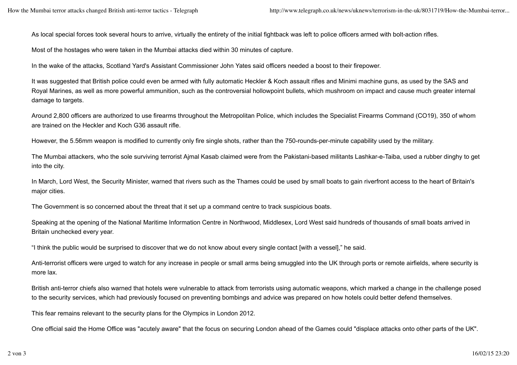As local special forces took several hours to arrive, virtually the entirety of the initial fightback was left to police officers armed with bolt-action rifles.

Most of the hostages who were taken in the Mumbai attacks died within 30 minutes of capture.

In the wake of the attacks, Scotland Yard's Assistant Commissioner John Yates said officers needed a boost to their firepower.

It was suggested that British police could even be armed with fully automatic Heckler & Koch assault rifles and Minimi machine guns, as used by the SAS and Royal Marines, as well as more powerful ammunition, such as the controversial hollowpoint bullets, which mushroom on impact and cause much greater internal damage to targets.

Around 2,800 officers are authorized to use firearms throughout the Metropolitan Police, which includes the Specialist Firearms Command (CO19), 350 of whom are trained on the Heckler and Koch G36 assault rifle.

However, the 5.56mm weapon is modified to currently only fire single shots, rather than the 750-rounds-per-minute capability used by the military.

The Mumbai attackers, who the sole surviving terrorist Ajmal Kasab claimed were from the Pakistani-based militants Lashkar-e-Taiba, used a rubber dinghy to get into the city.

In March, Lord West, the Security Minister, warned that rivers such as the Thames could be used by small boats to gain riverfront access to the heart of Britain's major cities.

The Government is so concerned about the threat that it set up a command centre to track suspicious boats.

Speaking at the opening of the National Maritime Information Centre in Northwood, Middlesex, Lord West said hundreds of thousands of small boats arrived in Britain unchecked every year.

"I think the public would be surprised to discover that we do not know about every single contact [with a vessel]," he said.

Anti-terrorist officers were urged to watch for any increase in people or small arms being smuggled into the UK through ports or remote airfields, where security is more lax.

British anti-terror chiefs also warned that hotels were vulnerable to attack from terrorists using automatic weapons, which marked a change in the challenge posed to the security services, which had previously focused on preventing bombings and advice was prepared on how hotels could better defend themselves.

This fear remains relevant to the security plans for the Olympics in London 2012.

One official said the Home Office was "acutely aware" that the focus on securing London ahead of the Games could "displace attacks onto other parts of the UK".